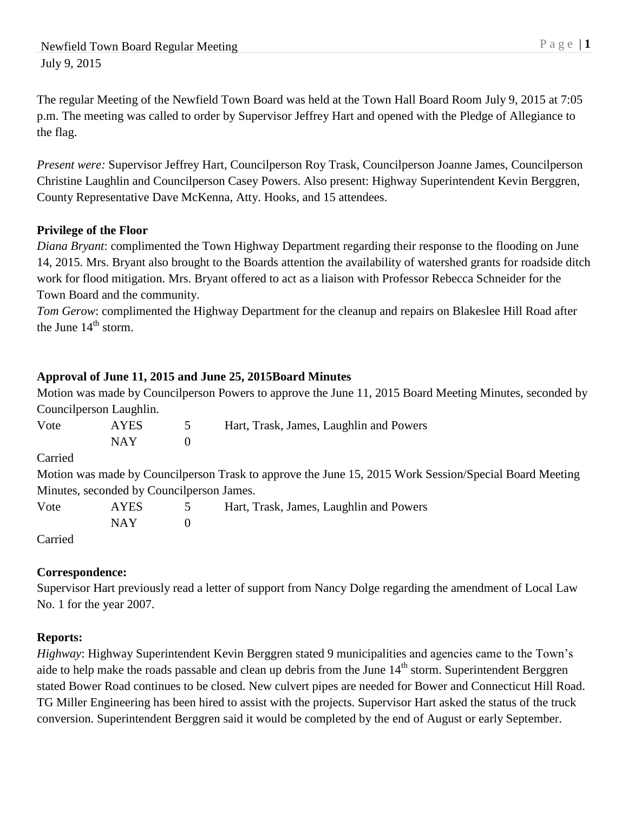The regular Meeting of the Newfield Town Board was held at the Town Hall Board Room July 9, 2015 at 7:05 p.m. The meeting was called to order by Supervisor Jeffrey Hart and opened with the Pledge of Allegiance to the flag.

*Present were:* Supervisor Jeffrey Hart, Councilperson Roy Trask, Councilperson Joanne James, Councilperson Christine Laughlin and Councilperson Casey Powers. Also present: Highway Superintendent Kevin Berggren, County Representative Dave McKenna, Atty. Hooks, and 15 attendees.

# **Privilege of the Floor**

*Diana Bryant*: complimented the Town Highway Department regarding their response to the flooding on June 14, 2015. Mrs. Bryant also brought to the Boards attention the availability of watershed grants for roadside ditch work for flood mitigation. Mrs. Bryant offered to act as a liaison with Professor Rebecca Schneider for the Town Board and the community.

*Tom Gerow*: complimented the Highway Department for the cleanup and repairs on Blakeslee Hill Road after the June  $14<sup>th</sup>$  storm.

# **Approval of June 11, 2015 and June 25, 2015Board Minutes**

Motion was made by Councilperson Powers to approve the June 11, 2015 Board Meeting Minutes, seconded by Councilperson Laughlin.

| Vote                                       | <b>AYES</b> | $\mathcal{D}$ | Hart, Trask, James, Laughlin and Powers                                                                |  |
|--------------------------------------------|-------------|---------------|--------------------------------------------------------------------------------------------------------|--|
|                                            | <b>NAY</b>  | $\theta$      |                                                                                                        |  |
| Carried                                    |             |               |                                                                                                        |  |
|                                            |             |               | Motion was made by Councilperson Trask to approve the June 15, 2015 Work Session/Special Board Meeting |  |
| Minutes, seconded by Council person James. |             |               |                                                                                                        |  |
| Vote                                       | <b>AYES</b> | $\mathcal{L}$ | Hart, Trask, James, Laughlin and Powers                                                                |  |
|                                            | <b>NAY</b>  | $\theta$      |                                                                                                        |  |

Carried

## **Correspondence:**

Supervisor Hart previously read a letter of support from Nancy Dolge regarding the amendment of Local Law No. 1 for the year 2007.

## **Reports:**

*Highway*: Highway Superintendent Kevin Berggren stated 9 municipalities and agencies came to the Town's aide to help make the roads passable and clean up debris from the June 14<sup>th</sup> storm. Superintendent Berggren stated Bower Road continues to be closed. New culvert pipes are needed for Bower and Connecticut Hill Road. TG Miller Engineering has been hired to assist with the projects. Supervisor Hart asked the status of the truck conversion. Superintendent Berggren said it would be completed by the end of August or early September.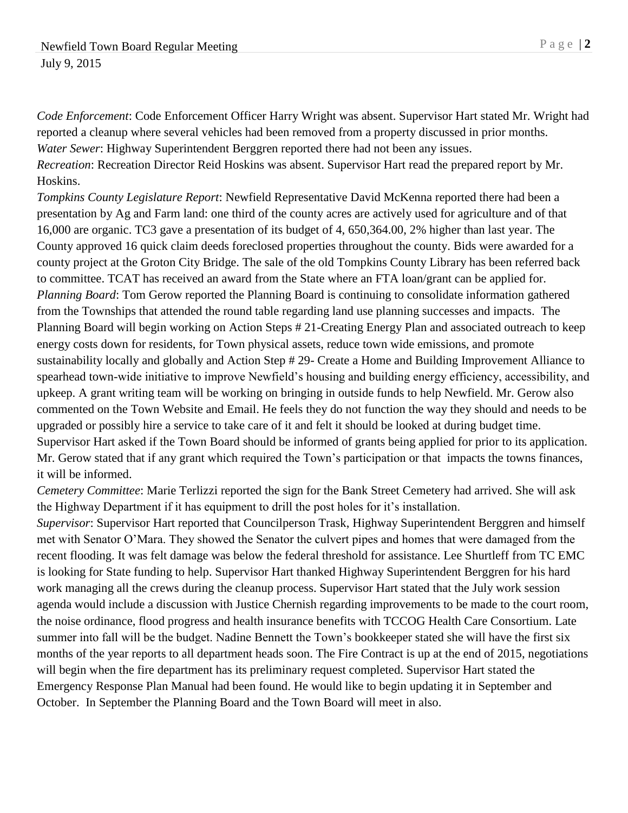*Code Enforcement*: Code Enforcement Officer Harry Wright was absent. Supervisor Hart stated Mr. Wright had reported a cleanup where several vehicles had been removed from a property discussed in prior months. *Water Sewer*: Highway Superintendent Berggren reported there had not been any issues. *Recreation*: Recreation Director Reid Hoskins was absent. Supervisor Hart read the prepared report by Mr. Hoskins.

*Tompkins County Legislature Report*: Newfield Representative David McKenna reported there had been a presentation by Ag and Farm land: one third of the county acres are actively used for agriculture and of that 16,000 are organic. TC3 gave a presentation of its budget of 4, 650,364.00, 2% higher than last year. The County approved 16 quick claim deeds foreclosed properties throughout the county. Bids were awarded for a county project at the Groton City Bridge. The sale of the old Tompkins County Library has been referred back to committee. TCAT has received an award from the State where an FTA loan/grant can be applied for. *Planning Board*: Tom Gerow reported the Planning Board is continuing to consolidate information gathered from the Townships that attended the round table regarding land use planning successes and impacts. The Planning Board will begin working on Action Steps # 21-Creating Energy Plan and associated outreach to keep energy costs down for residents, for Town physical assets, reduce town wide emissions, and promote sustainability locally and globally and Action Step # 29- Create a Home and Building Improvement Alliance to spearhead town-wide initiative to improve Newfield's housing and building energy efficiency, accessibility, and upkeep. A grant writing team will be working on bringing in outside funds to help Newfield. Mr. Gerow also commented on the Town Website and Email. He feels they do not function the way they should and needs to be upgraded or possibly hire a service to take care of it and felt it should be looked at during budget time. Supervisor Hart asked if the Town Board should be informed of grants being applied for prior to its application. Mr. Gerow stated that if any grant which required the Town's participation or that impacts the towns finances, it will be informed.

*Cemetery Committee*: Marie Terlizzi reported the sign for the Bank Street Cemetery had arrived. She will ask the Highway Department if it has equipment to drill the post holes for it's installation.

*Supervisor*: Supervisor Hart reported that Councilperson Trask, Highway Superintendent Berggren and himself met with Senator O'Mara. They showed the Senator the culvert pipes and homes that were damaged from the recent flooding. It was felt damage was below the federal threshold for assistance. Lee Shurtleff from TC EMC is looking for State funding to help. Supervisor Hart thanked Highway Superintendent Berggren for his hard work managing all the crews during the cleanup process. Supervisor Hart stated that the July work session agenda would include a discussion with Justice Chernish regarding improvements to be made to the court room, the noise ordinance, flood progress and health insurance benefits with TCCOG Health Care Consortium. Late summer into fall will be the budget. Nadine Bennett the Town's bookkeeper stated she will have the first six months of the year reports to all department heads soon. The Fire Contract is up at the end of 2015, negotiations will begin when the fire department has its preliminary request completed. Supervisor Hart stated the Emergency Response Plan Manual had been found. He would like to begin updating it in September and October. In September the Planning Board and the Town Board will meet in also.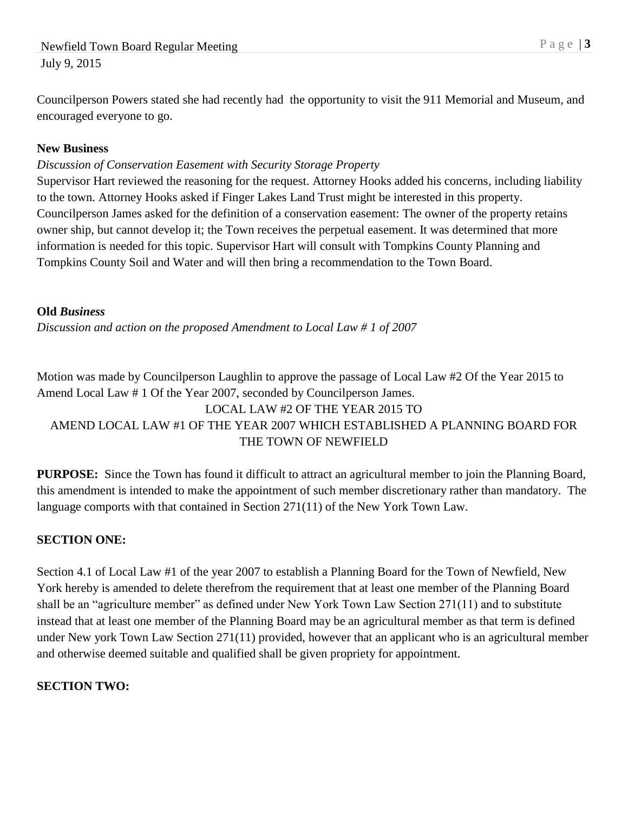Councilperson Powers stated she had recently had the opportunity to visit the 911 Memorial and Museum, and encouraged everyone to go.

#### **New Business**

### *Discussion of Conservation Easement with Security Storage Property*

Supervisor Hart reviewed the reasoning for the request. Attorney Hooks added his concerns, including liability to the town. Attorney Hooks asked if Finger Lakes Land Trust might be interested in this property. Councilperson James asked for the definition of a conservation easement: The owner of the property retains owner ship, but cannot develop it; the Town receives the perpetual easement. It was determined that more information is needed for this topic. Supervisor Hart will consult with Tompkins County Planning and Tompkins County Soil and Water and will then bring a recommendation to the Town Board.

#### **Old** *Business*

*Discussion and action on the proposed Amendment to Local Law # 1 of 2007*

Motion was made by Councilperson Laughlin to approve the passage of Local Law #2 Of the Year 2015 to Amend Local Law # 1 Of the Year 2007, seconded by Councilperson James. LOCAL LAW #2 OF THE YEAR 2015 TO AMEND LOCAL LAW #1 OF THE YEAR 2007 WHICH ESTABLISHED A PLANNING BOARD FOR THE TOWN OF NEWFIELD

**PURPOSE:** Since the Town has found it difficult to attract an agricultural member to join the Planning Board, this amendment is intended to make the appointment of such member discretionary rather than mandatory. The language comports with that contained in Section 271(11) of the New York Town Law.

## **SECTION ONE:**

Section 4.1 of Local Law #1 of the year 2007 to establish a Planning Board for the Town of Newfield, New York hereby is amended to delete therefrom the requirement that at least one member of the Planning Board shall be an "agriculture member" as defined under New York Town Law Section 271(11) and to substitute instead that at least one member of the Planning Board may be an agricultural member as that term is defined under New york Town Law Section 271(11) provided, however that an applicant who is an agricultural member and otherwise deemed suitable and qualified shall be given propriety for appointment.

## **SECTION TWO:**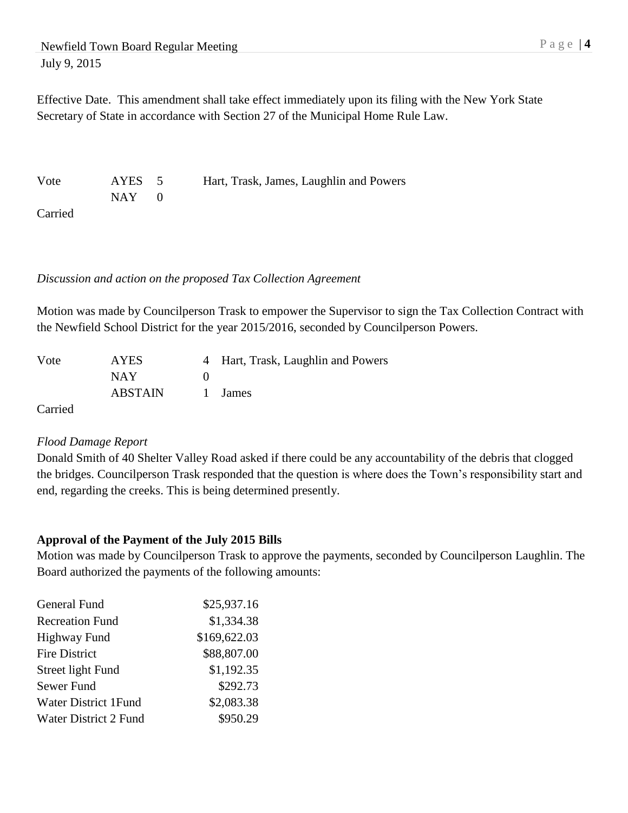Effective Date. This amendment shall take effect immediately upon its filing with the New York State Secretary of State in accordance with Section 27 of the Municipal Home Rule Law.

Vote AYES 5 Hart, Trask, James, Laughlin and Powers  $NAY$  0 Carried

#### *Discussion and action on the proposed Tax Collection Agreement*

Motion was made by Councilperson Trask to empower the Supervisor to sign the Tax Collection Contract with the Newfield School District for the year 2015/2016, seconded by Councilperson Powers.

| Vote    | <b>AYES</b> | 4 Hart, Trask, Laughlin and Powers |
|---------|-------------|------------------------------------|
|         | NAY.        |                                    |
|         | ABSTAIN     | 1 James                            |
| Carried |             |                                    |

#### *Flood Damage Report*

Donald Smith of 40 Shelter Valley Road asked if there could be any accountability of the debris that clogged the bridges. Councilperson Trask responded that the question is where does the Town's responsibility start and end, regarding the creeks. This is being determined presently.

## **Approval of the Payment of the July 2015 Bills**

Motion was made by Councilperson Trask to approve the payments, seconded by Councilperson Laughlin. The Board authorized the payments of the following amounts:

| General Fund           | \$25,937.16  |
|------------------------|--------------|
| <b>Recreation Fund</b> | \$1,334.38   |
| <b>Highway Fund</b>    | \$169,622.03 |
| <b>Fire District</b>   | \$88,807.00  |
| Street light Fund      | \$1,192.35   |
| Sewer Fund             | \$292.73     |
| Water District 1 Fund  | \$2,083.38   |
| Water District 2 Fund  | \$950.29     |